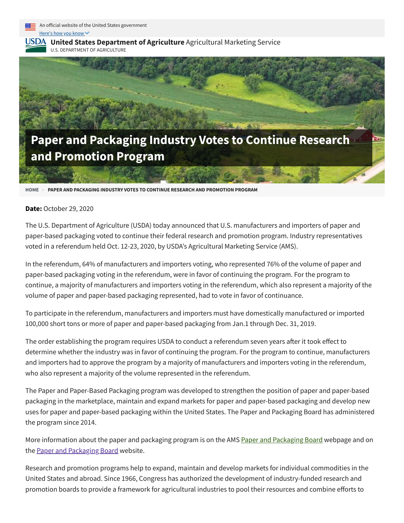



**USDA** United States [Department](https://www.ams.usda.gov/) of Agriculture Agricultural Marketing Service

U.S. DEPARTMENT OF AGRICULTURE



**[HOME](https://www.ams.usda.gov/) › PAPER AND PACKAGING INDUSTRY VOTES TO CONTINUE RESEARCH AND PROMOTION PROGRAM**

## **Date:** October 29, 2020

The U.S. Department of Agriculture (USDA) today announced that U.S. manufacturers and importers of paper and paper-based packaging voted to continue their federal research and promotion program. Industry representatives voted in a referendum held Oct. 12-23, 2020, by USDA's Agricultural Marketing Service (AMS).

In the referendum, 64% of manufacturers and importers voting, who represented 76% of the volume of paper and paper-based packaging voting in the referendum, were in favor of continuing the program. For the program to continue, a majority of manufacturers and importers voting in the referendum, which also represent a majority of the volume of paper and paper-based packaging represented, had to vote in favor of continuance.

To participate in the referendum, manufacturers and importers must have domestically manufactured or imported 100,000 short tons or more of paper and paper-based packaging from Jan.1 through Dec. 31, 2019.

The order establishing the program requires USDA to conduct a referendum seven years after it took effect to determine whether the industry was in favor of continuing the program. For the program to continue, manufacturers and importers had to approve the program by a majority of manufacturers and importers voting in the referendum, who also represent a majority of the volume represented in the referendum.

The Paper and Paper-Based Packaging program was developed to strengthen the position of paper and paper-based packaging in the marketplace, maintain and expand markets for paper and paper-based packaging and develop new uses for paper and paper-based packaging within the United States. The Paper and Packaging Board has administered the program since 2014.

More information about the paper and packaging program is on the AMS Paper and [Packaging](https://www.ams.usda.gov/rules-regulations/research-promotion/paper) Board webpage and on the Paper and [Packaging](https://www.paperandpackaging.org/) Board website.

Research and promotion programs help to expand, maintain and develop markets for individual commodities in the United States and abroad. Since 1966, Congress has authorized the development of industry-funded research and promotion boards to provide a framework for agricultural industries to pool their resources and combine efforts to